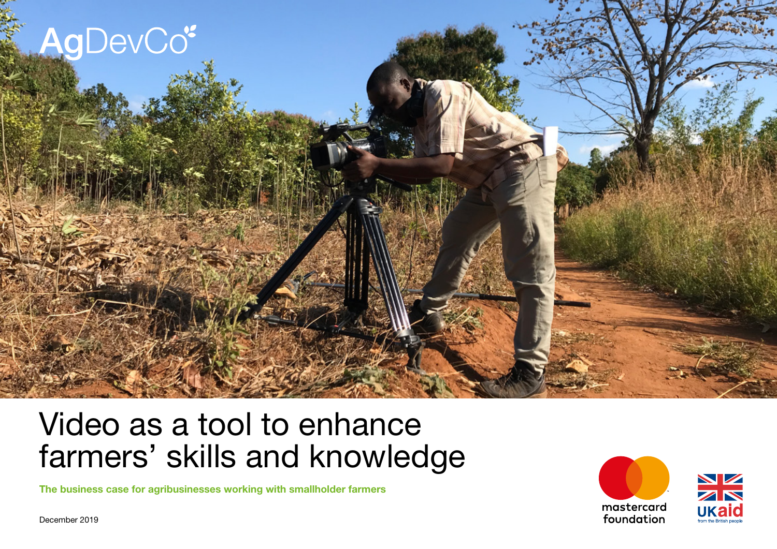

# Video as a tool to enhance farmers' skills and knowledge

**The business case for agribusinesses working with smallholder farmers**

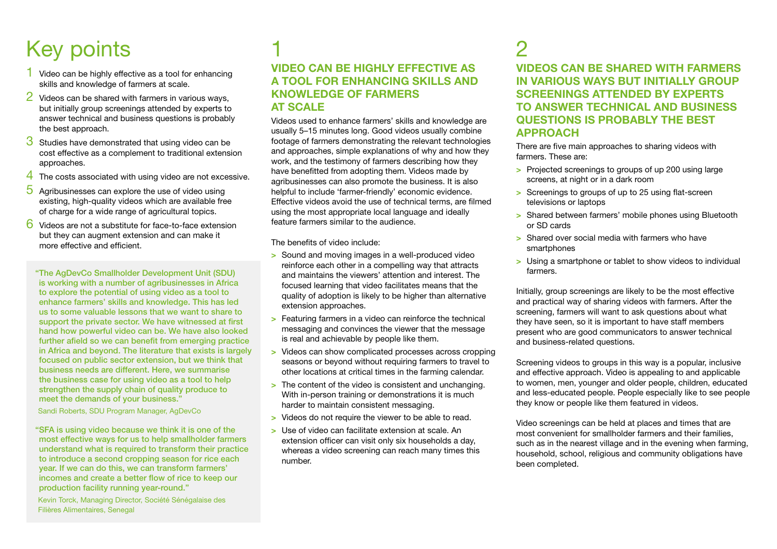## Key points

- 1 Video can be highly effective as a tool for enhancing skills and knowledge of farmers at scale.
- 2 Videos can be shared with farmers in various ways, but initially group screenings attended by experts to answer technical and business questions is probably the best approach.
- **3** Studies have demonstrated that using video can be cost effective as a complement to traditional extension approaches.
- 4 The costs associated with using video are not excessive.
- $\overline{5}$  Agribusinesses can explore the use of video using existing, high-quality videos which are available free of charge for a wide range of agricultural topics.
- 6 Videos are not a substitute for face-to-face extension but they can augment extension and can make it more effective and efficient.

"The AgDevCo Smallholder Development Unit (SDU) is working with a number of agribusinesses in Africa to explore the potential of using video as a tool to enhance farmers' skills and knowledge. This has led us to some valuable lessons that we want to share to support the private sector. We have witnessed at first hand how powerful video can be. We have also looked further afield so we can benefit from emerging practice in Africa and beyond. The literature that exists is largely focused on public sector extension, but we think that business needs are different. Here, we summarise the business case for using video as a tool to help strengthen the supply chain of quality produce to meet the demands of your business."

Sandi Roberts, SDU Program Manager, AgDevCo

"SFA is using video because we think it is one of the most effective ways for us to help smallholder farmers understand what is required to transform their practice to introduce a second cropping season for rice each year. If we can do this, we can transform farmers' incomes and create a better flow of rice to keep our production facility running year-round."

 Kevin Torck, Managing Director, Société Sénégalaise des Filières Alimentaires, Senegal

## 1 **VIDEO CAN BE HIGHLY EFFECTIVE AS A TOOL FOR ENHANCING SKILLS AND KNOWLEDGE OF FARMERS AT SCALE**

Videos used to enhance farmers' skills and knowledge are usually 5–15 minutes long. Good videos usually combine footage of farmers demonstrating the relevant technologies and approaches, simple explanations of why and how they work, and the testimony of farmers describing how they have benefitted from adopting them. Videos made by agribusinesses can also promote the business. It is also helpful to include 'farmer-friendly' economic evidence. Effective videos avoid the use of technical terms, are filmed using the most appropriate local language and ideally feature farmers similar to the audience.

The benefits of video include:

- **>** Sound and moving images in a well-produced video reinforce each other in a compelling way that attracts and maintains the viewers' attention and interest. The focused learning that video facilitates means that the quality of adoption is likely to be higher than alternative extension approaches.
- **>** Featuring farmers in a video can reinforce the technical messaging and convinces the viewer that the message is real and achievable by people like them.
- **>** Videos can show complicated processes across cropping seasons or beyond without requiring farmers to travel to other locations at critical times in the farming calendar.
- **>** The content of the video is consistent and unchanging. With in-person training or demonstrations it is much harder to maintain consistent messaging.
- **>** Videos do not require the viewer to be able to read.
- **>** Use of video can facilitate extension at scale. An extension officer can visit only six households a day, whereas a video screening can reach many times this number.

## $\mathcal P$

**VIDEOS CAN BE SHARED WITH FARMERS IN VARIOUS WAYS BUT INITIALLY GROUP SCREENINGS ATTENDED BY EXPERTS TO ANSWER TECHNICAL AND BUSINESS QUESTIONS IS PROBABLY THE BEST APPROACH** 

There are five main approaches to sharing videos with farmers. These are:

- **>** Projected screenings to groups of up 200 using large screens, at night or in a dark room
- **>** Screenings to groups of up to 25 using flat-screen televisions or laptops
- **>** Shared between farmers' mobile phones using Bluetooth or SD cards
- **>** Shared over social media with farmers who have smartphones
- **>** Using a smartphone or tablet to show videos to individual farmers.

Initially, group screenings are likely to be the most effective and practical way of sharing videos with farmers. After the screening, farmers will want to ask questions about what they have seen, so it is important to have staff members present who are good communicators to answer technical and business-related questions.

Screening videos to groups in this way is a popular, inclusive and effective approach. Video is appealing to and applicable to women, men, younger and older people, children, educated and less-educated people. People especially like to see people they know or people like them featured in videos.

Video screenings can be held at places and times that are most convenient for smallholder farmers and their families, such as in the nearest village and in the evening when farming, household, school, religious and community obligations have been completed.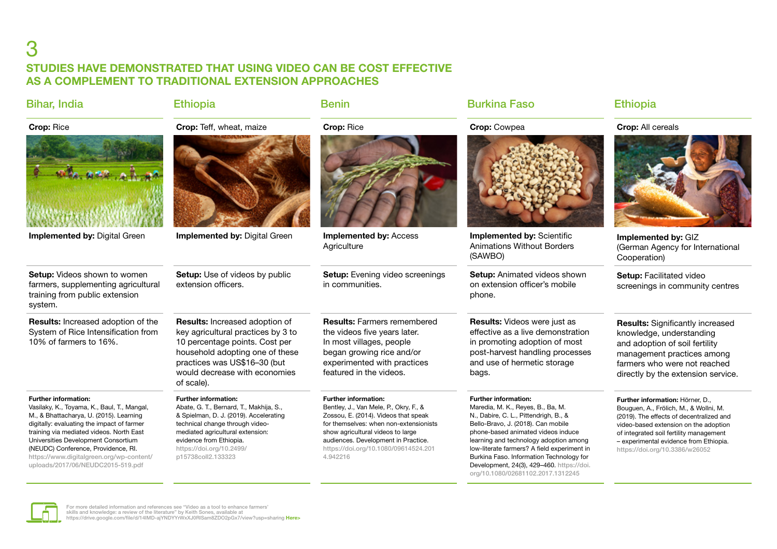## 3 **STUDIES HAVE DEMONSTRATED THAT USING VIDEO CAN BE COST EFFECTIVE AS A COMPLEMENT TO TRADITIONAL EXTENSION APPROACHES**

| <b>Bihar, India</b>                                                                                                                                                                                                                                                                                                                                                            | <b>Ethiopia</b>                                                                                                                                                                                                                                                      | <b>Benin</b>                                                                                                                                                                                                                                                                            | <b>Burkina Faso</b>                                                                                                                                                                                                                                                                                                                                                                                          | <b>Ethiopia</b>                                                                                                                                                                                                                                                                        |
|--------------------------------------------------------------------------------------------------------------------------------------------------------------------------------------------------------------------------------------------------------------------------------------------------------------------------------------------------------------------------------|----------------------------------------------------------------------------------------------------------------------------------------------------------------------------------------------------------------------------------------------------------------------|-----------------------------------------------------------------------------------------------------------------------------------------------------------------------------------------------------------------------------------------------------------------------------------------|--------------------------------------------------------------------------------------------------------------------------------------------------------------------------------------------------------------------------------------------------------------------------------------------------------------------------------------------------------------------------------------------------------------|----------------------------------------------------------------------------------------------------------------------------------------------------------------------------------------------------------------------------------------------------------------------------------------|
| Crop: Rice                                                                                                                                                                                                                                                                                                                                                                     | Crop: Teff, wheat, maize                                                                                                                                                                                                                                             | Crop: Rice                                                                                                                                                                                                                                                                              | Crop: Cowpea                                                                                                                                                                                                                                                                                                                                                                                                 | Crop: All cereals                                                                                                                                                                                                                                                                      |
|                                                                                                                                                                                                                                                                                                                                                                                |                                                                                                                                                                                                                                                                      |                                                                                                                                                                                                                                                                                         |                                                                                                                                                                                                                                                                                                                                                                                                              |                                                                                                                                                                                                                                                                                        |
| <b>Implemented by: Digital Green</b>                                                                                                                                                                                                                                                                                                                                           | <b>Implemented by: Digital Green</b>                                                                                                                                                                                                                                 | <b>Implemented by: Access</b><br>Agriculture                                                                                                                                                                                                                                            | Implemented by: Scientific<br><b>Animations Without Borders</b><br>(SAWBO)                                                                                                                                                                                                                                                                                                                                   | Implemented by: GIZ<br>(German Agency for International<br>Cooperation)                                                                                                                                                                                                                |
| <b>Setup:</b> Videos shown to women<br>farmers, supplementing agricultural<br>training from public extension<br>system.                                                                                                                                                                                                                                                        | <b>Setup:</b> Use of videos by public<br>extension officers.                                                                                                                                                                                                         | <b>Setup:</b> Evening video screenings<br>in communities.                                                                                                                                                                                                                               | <b>Setup:</b> Animated videos shown<br>on extension officer's mobile<br>phone.                                                                                                                                                                                                                                                                                                                               | Setup: Facilitated video<br>screenings in community centres                                                                                                                                                                                                                            |
| Results: Increased adoption of the<br>System of Rice Intensification from<br>10% of farmers to 16%.                                                                                                                                                                                                                                                                            | Results: Increased adoption of<br>key agricultural practices by 3 to<br>10 percentage points. Cost per<br>household adopting one of these<br>practices was US\$16-30 (but<br>would decrease with economies<br>of scale).                                             | <b>Results: Farmers remembered</b><br>the videos five years later.<br>In most villages, people<br>began growing rice and/or<br>experimented with practices<br>featured in the videos.                                                                                                   | Results: Videos were just as<br>effective as a live demonstration<br>in promoting adoption of most<br>post-harvest handling processes<br>and use of hermetic storage<br>bags.                                                                                                                                                                                                                                | <b>Results:</b> Significantly increased<br>knowledge, understanding<br>and adoption of soil fertility<br>management practices among<br>farmers who were not reached<br>directly by the extension service.                                                                              |
| <b>Further information:</b><br>Vasilaky, K., Toyama, K., Baul, T., Mangal,<br>M., & Bhattacharya, U. (2015). Learning<br>digitally: evaluating the impact of farmer<br>training via mediated videos. North East<br>Universities Development Consortium<br>(NEUDC) Conference, Providence, RI.<br>https://www.digitalgreen.org/wp-content/<br>uploads/2017/06/NEUDC2015-519.pdf | <b>Further information:</b><br>Abate, G. T., Bernard, T., Makhija, S.,<br>& Spielman, D. J. (2019). Accelerating<br>technical change through video-<br>mediated agricultural extension:<br>evidence from Ethiopia.<br>https://doi.org/10.2499/<br>p15738coll2.133323 | <b>Further information:</b><br>Bentley, J., Van Mele, P., Okry, F., &<br>Zossou, E. (2014). Videos that speak<br>for themselves: when non-extensionists<br>show agricultural videos to large<br>audiences. Development in Practice.<br>https://doi.org/10.1080/09614524.201<br>4.942216 | <b>Further information:</b><br>Maredia, M. K., Reyes, B., Ba, M.<br>N., Dabire, C. L., Pittendrigh, B., &<br>Bello-Bravo, J. (2018). Can mobile<br>phone-based animated videos induce<br>learning and technology adoption among<br>low-literate farmers? A field experiment in<br>Burkina Faso. Information Technology for<br>Development, 24(3), 429-460. https://doi.<br>org/10.1080/02681102.2017.1312245 | Further information: Hörner, D.,<br>Bouguen, A., Frölich, M., & Wollni, M.<br>(2019). The effects of decentralized and<br>video-based extension on the adoption<br>of integrated soil fertility management<br>- experimental evidence from Ethiopia.<br>https://doi.org/10.3386/w26052 |